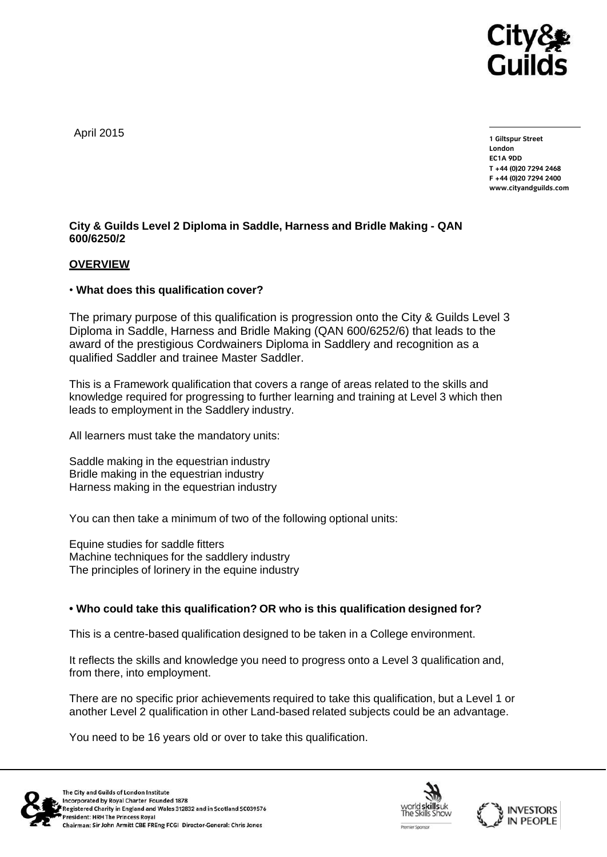

April 2015

**1 Giltspur Street EC1A 9DD** T +44 (0)20 7294 2468 **T +44 (0)20 7294 246[8](http://www.cityandguilds.com/) F +44** (1)<br>Example: altreadernikle ee **[www.cityandguilds.com](http://www.cityandguilds.com/)**

# **City & Guilds Level 2 Diploma in Saddle, Harness and Bridle Making - QAN 600/6250/2**

### **OVERVIEW**

### • **What does this qualification cover?**

The primary purpose of this qualification is progression onto the City & Guilds Level 3 Diploma in Saddle, Harness and Bridle Making (QAN 600/6252/6) that leads to the award of the prestigious Cordwainers Diploma in Saddlery and recognition as a qualified Saddler and trainee Master Saddler.

This is a Framework qualification that covers a range of areas related to the skills and knowledge required for progressing to further learning and training at Level 3 which then leads to employment in the Saddlery industry.

All learners must take the mandatory units:

Saddle making in the equestrian industry Bridle making in the equestrian industry Harness making in the equestrian industry

You can then take a minimum of two of the following optional units:

Equine studies for saddle fitters Machine techniques for the saddlery industry The principles of lorinery in the equine industry

## **• Who could take this qualification? OR who is this qualification designed for?**

This is a centre-based qualification designed to be taken in a College environment.

It reflects the skills and knowledge you need to progress onto a Level 3 qualification and, from there, into employment.

There are no specific prior achievements required to take this qualification, but a Level 1 or another Level 2 qualification in other Land-based related subjects could be an advantage.

You need to be 16 years old or over to take this qualification.





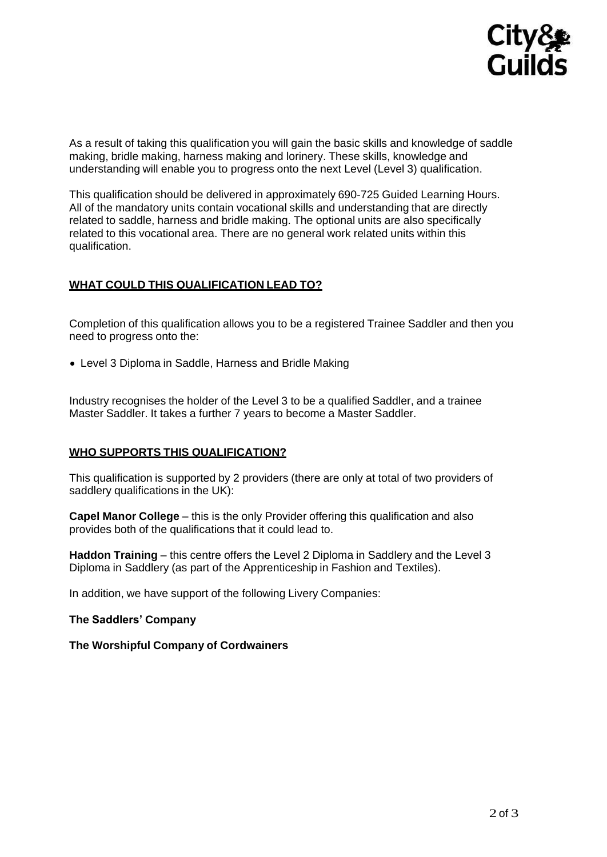

As a result of taking this qualification you will gain the basic skills and knowledge of saddle making, bridle making, harness making and lorinery. These skills, knowledge and understanding will enable you to progress onto the next Level (Level 3) qualification.

This qualification should be delivered in approximately 690-725 Guided Learning Hours. All of the mandatory units contain vocational skills and understanding that are directly related to saddle, harness and bridle making. The optional units are also specifically related to this vocational area. There are no general work related units within this qualification.

# **WHAT COULD THIS QUALIFICATION LEAD TO?**

Completion of this qualification allows you to be a registered Trainee Saddler and then you need to progress onto the:

Level 3 Diploma in Saddle, Harness and Bridle Making

Industry recognises the holder of the Level 3 to be a qualified Saddler, and a trainee Master Saddler. It takes a further 7 years to become a Master Saddler.

## **WHO SUPPORTS THIS QUALIFICATION?**

This qualification is supported by 2 providers (there are only at total of two providers of saddlery qualifications in the UK):

**Capel Manor College** – this is the only Provider offering this qualification and also provides both of the qualifications that it could lead to.

**Haddon Training** – this centre offers the Level 2 Diploma in Saddlery and the Level 3 Diploma in Saddlery (as part of the Apprenticeship in Fashion and Textiles).

In addition, we have support of the following Livery Companies:

**The Saddlers' Company**

**The Worshipful Company of Cordwainers**